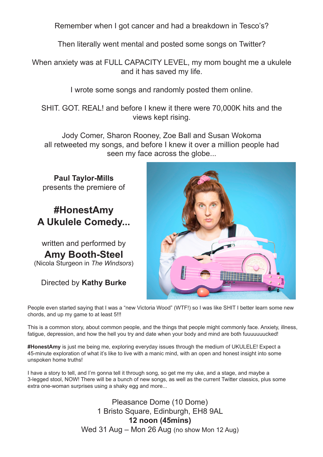Remember when I got cancer and had a breakdown in Tesco's?

Then literally went mental and posted some songs on Twitter?

When anxiety was at FULL CAPACITY LEVEL, my mom bought me a ukulele and it has saved my life.

I wrote some songs and randomly posted them online.

SHIT. GOT. REAL! and before I knew it there were 70,000K hits and the views kept rising.

Jody Comer, Sharon Rooney, Zoe Ball and Susan Wokoma all retweeted my songs, and before I knew it over a million people had seen my face across the globe...

**Paul Taylor-Mills** presents the premiere of

## **#HonestAmy A Ukulele Comedy...**

written and performed by **Amy Booth-Steel** (Nicola Sturgeon in *The Windsors*)

Directed by **Kathy Burke**



People even started saying that I was a "new Victoria Wood" (WTF!) so I was like SHIT I better learn some new chords, and up my game to at least 5!!!

This is a common story, about common people, and the things that people might commonly face. Anxiety, illness, fatigue, depression, and how the hell you try and date when your body and mind are both fuuuuuuucked!

**#HonestAmy** is just me being me, exploring everyday issues through the medium of UKULELE! Expect a 45-minute exploration of what it's like to live with a manic mind, with an open and honest insight into some unspoken home truths!

I have a story to tell, and I'm gonna tell it through song, so get me my uke, and a stage, and maybe a 3-legged stool, NOW! There will be a bunch of new songs, as well as the current Twitter classics, plus some extra one-woman surprises using a shaky egg and more...

> Pleasance Dome (10 Dome) 1 Bristo Square, Edinburgh, EH8 9AL **12 noon (45mins)**  Wed 31 Aug – Mon 26 Aug (no show Mon 12 Aug)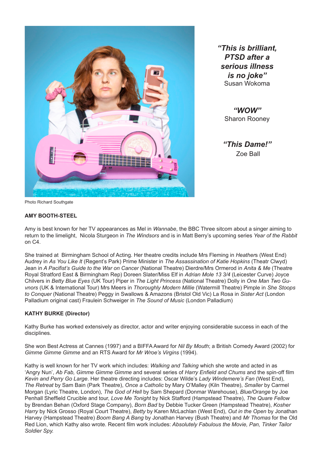

*"This is brilliant, PTSD after a serious illness is no joke"* Susan Wokoma

> *"WOW"*  Sharon Rooney

*"This Dame!"* Zoe Ball

Photo Richard Southgate

#### **AMY BOOTH-STEEL**

Amy is best known for her TV appearances as Mel in *Wannabe*, the BBC Three sitcom about a singer aiming to return to the limelight, Nicola Sturgeon in *The Windsors* and is in Matt Berry's upcoming series *Year of the Rabbit*  on C4.

She trained at Birmingham School of Acting. Her theatre credits include Mrs Fleming in *Heather*s (West End) Audrey in *As You Like It* (Regent's Park) Prime Minister in *The Assassination of Katie Hopkins* (Theatr Clwyd) Jean in *A Pacifist's Guide to the War on Cancer* (National Theatre) Dierdre/Mrs Ormerod in *Anita & Me* (Theatre Royal Stratford East & Birmingham Rep) Doreen Slater/Miss Elf in *Adrian Mole 13 3/4* (Leicester Curve) Joyce Chilvers in *Betty Blue Eyes* (UK Tour) Piper in *The Light Princess* (National Theatre) Dolly in *One Man Two Guvnors* (UK & International Tour) Mrs Meers in *Thoroughly Modern Millie* (Watermill Theatre) Pimple in *She Stoops to Conquer* (National Theatre) Peggy in Swallows & Amazons (Bristol Old Vic) La Rosa in *Sister Act* (London Palladium original cast) Fraulein Schweiger in *The Sound of Music* (London Palladium)

#### **KATHY BURKE (Director)**

Kathy Burke has worked extensively as director, actor and writer enjoying considerable success in each of the disciplines.

She won Best Actress at Cannes (1997) and a BIFFA Award for *Nil By Mouth*; a British Comedy Award (2002) for *Gimme Gimme Gimme* and an RTS Award for *Mr Wroe's Virgins* (1994).

Kathy is well known for her TV work which includes: *Walking and Talking* which she wrote and acted in as 'Angry Nun', *Ab Fab, Gimme Gimme Gimme* and several series of *Harry Enfield and Chums* and the spin-off film *Kevin and Perry Go Large*. Her theatre directing includes: Oscar Wilde's *Lady Windemere's Fan* (West End), *The Retreat* by Sam Bain (Park Theatre), *Once a Catholic* by Mary O'Malley (Kiln Theatre), *Smaller* by Carmel Morgan (Lyric Theatre, London), *The God of Hell* by Sam Shepard (Donmar Warehouse), *Blue/Orange* by Joe Penhall Sheffield Crucible and tour, *Love Me Tonight* by Nick Stafford (Hampstead Theatre), *The Quare Fellow* by Brendan Behan (Oxford Stage Company), *Born Bad* by Debbie Tucker Green (Hampstead Theatre), *Kosher Harry* by Nick Grosso (Royal Court Theatre), *Betty* by Karen McLachlan (West End), *Out in the Open* by Jonathan Harvey (Hampstead Theatre) *Boom Bang A Bang* by Jonathan Harvey (Bush Theatre) and *Mr Thomas* for the Old Red Lion, which Kathy also wrote. Recent film work includes: *Absolutely Fabulous the Movie, Pan, Tinker Tailor Soldier Spy.*